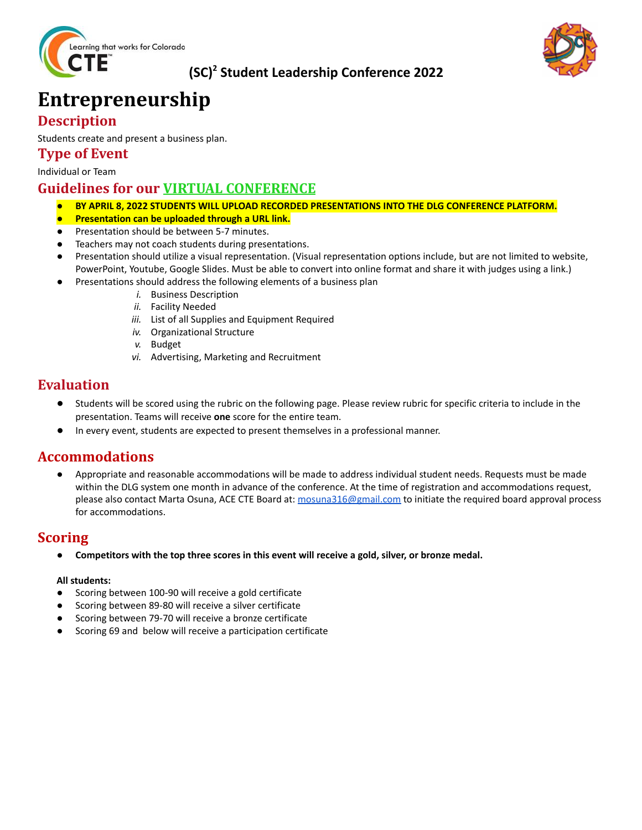

### **(SC) <sup>2</sup> Student Leadership Conference 2022**



## **Entrepreneurship**

### **Description**

Students create and present a business plan.

#### **Type of Event**

Individual or Team

#### **Guidelines for our VIRTUAL CONFERENCE**

- *●* **BY APRIL 8, 2022 STUDENTS WILL UPLOAD RECORDED PRESENTATIONS INTO THE DLG CONFERENCE PLATFORM.**
- **Presentation can be uploaded through a URL link.**
- Presentation should be between 5-7 minutes.
- Teachers may not coach students during presentations.
- *●* Presentation should utilize a visual representation. (Visual representation options include, but are not limited to website, PowerPoint, Youtube, Google Slides. Must be able to convert into online format and share it with judges using a link.)
- Presentations should address the following elements of a business plan
	- *i.* Business Description
	- *ii.* Facility Needed
	- *iii.* List of all Supplies and Equipment Required
	- *iv.* Organizational Structure
	- *v.* Budget
	- *vi.* Advertising, Marketing and Recruitment

#### **Evaluation**

- Students will be scored using the rubric on the following page. Please review rubric for specific criteria to include in the presentation. Teams will receive **one** score for the entire team.
- In every event, students are expected to present themselves in a professional manner.

#### **Accommodations**

Appropriate and reasonable accommodations will be made to address individual student needs. Requests must be made within the DLG system one month in advance of the conference. At the time of registration and accommodations request, please also contact Marta Osuna, ACE CTE Board at: [mosuna316@gmail.com](mailto:mosuna316@gmail.com) to initiate the required board approval process for accommodations.

#### **Scoring**

Competitors with the top three scores in this event will receive a gold, silver, or bronze medal.

#### **All students:**

- **●** Scoring between 100-90 will receive a gold certificate
- **●** Scoring between 89-80 will receive a silver certificate
- **●** Scoring between 79-70 will receive a bronze certificate
- **●** Scoring 69 and below will receive a participation certificate